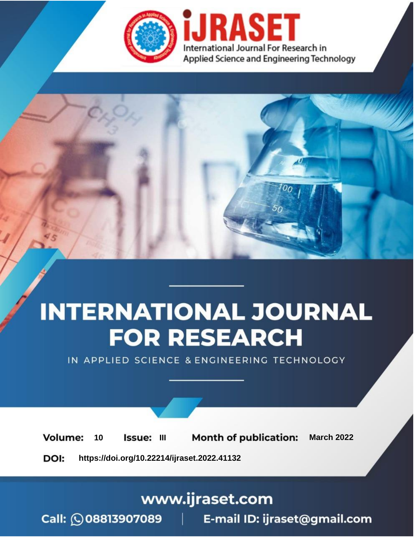

# **INTERNATIONAL JOURNAL FOR RESEARCH**

IN APPLIED SCIENCE & ENGINEERING TECHNOLOGY

**Month of publication: Volume:** 10 **Issue: III March 2022** DOI: https://doi.org/10.22214/ijraset.2022.41132

www.ijraset.com

Call: 008813907089 | E-mail ID: ijraset@gmail.com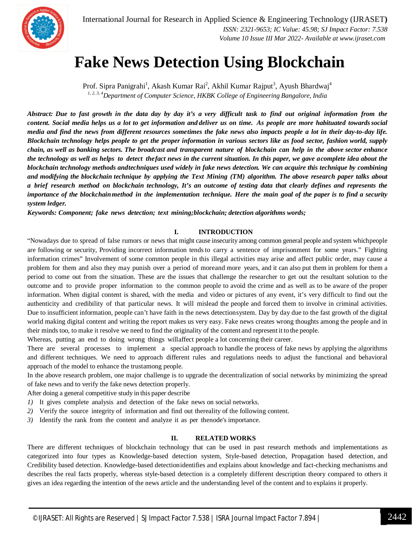

### **Fake News Detection Using Blockchain**

Prof. Sipra Panigrahi<sup>1</sup>, Akash Kumar Rai<sup>2</sup>, Akhil Kumar Rajput<sup>3</sup>, Ayush Bhardwaj<sup>4</sup> *1, 2, 3, 4Department of Computer Science, HKBK College of Engineering Bangalore, India*

Abstract: Due to fast growth in the data day by day it's a very difficult task to find out original information from the content. Social media helps us a lot to get information and deliver us on time. As people are more habituated towards social media and find the news from different resources sometimes the fake news also impacts people a lot in their day-to-day life. Blockchain technology helps people to get the proper information in various sectors like as food sector, fashion world, supply chain, as well as banking sectors. The broadcast and transparent nature of blockchain can help in the above sector enhance the technology as well as helps to detect the fact news in the current situation. In this paper, we gave acomplete idea about the blockchain technology methods andtechniques used widely in fake news detection. We can acquire this technique by combining and modifying the blockchain technique by applying the Text Mining (TM) algorithm. The above research paper talks about a brief research method on blockchain technology, It's an outcome of testing data that clearly defines and represents the *importance of the blockchainmethod in the implementation technique. Here the main goal of the paper is to find a security system ledger.*

*Keywords: Component; fake news detection; text mining;blockchain; detection algorithms words;*

#### **I. INTRODUCTION**

"Nowadays due to spread of false rumors or news that might cause insecurity among common general people and system whichpeople are following or security, Providing incorrect information tendsto carry a sentence of imprisonment for some years." Fighting information crimes" Involvement of some common people in this illegal activities may arise and affect public order, may cause a problem for them and also they may punish over a period of moreand more years, and it can also put them in problem for them a period to come out from the situation. These are the issues that challenge the researcher to get out the resultant solution to the outcome and to provide proper information to the common people to avoid the crime and as well as to be aware of the proper information. When digital content is shared, with the media and video or pictures of any event, it's very difficult to find out the authenticity and credibility of that particular news. It will mislead the people and forced them to involve in criminal activities. Due to insufficient information, people can't have faith in the news detectionsystem. Day by day due to the fast growth of the digital world making digital content and writing the report makes us very easy. Fake news creates wrong thoughts among the people and in their minds too, to make it resolve we need to find the originality of the content and represent it to the people.

Whereas, putting an end to doing wrong things willaffect people a lot concerning their career.

There are several processes to implement a special approach to handle the process of fake news by applying the algorithms and different techniques. We need to approach different rules and regulations needs to adjust the functional and behavioral approach of the model to enhance the trustamong people.

In the above research problem, one major challenge is to upgrade the decentralization of social networks by minimizing the spread of fake news and to verify the fake news detection properly.

After doing a general competitive study in this paper describe

- *1)* It gives complete analysis and detection of the fake news on social networks.
- *2)* Verify the source integrity of information and find out thereality of the following content.
- *3)* Identify the rank from the content and analyze it as per thenode's importance.

#### **II. RELATED WORKS**

There are different techniques of blockchain technology that can be used in past research methods and implementations as categorized into four types as Knowledge-based detection system, Style-based detection, Propagation based detection, and Credibility based detection. Knowledge-based detectionidentifies and explains about knowledge and fact-checking mechanisms and describes the real facts properly, whereas style-based detection is a completely different description theory compared to others it gives an idea regarding the intention of the news article and the understanding level of the content and to explains it properly.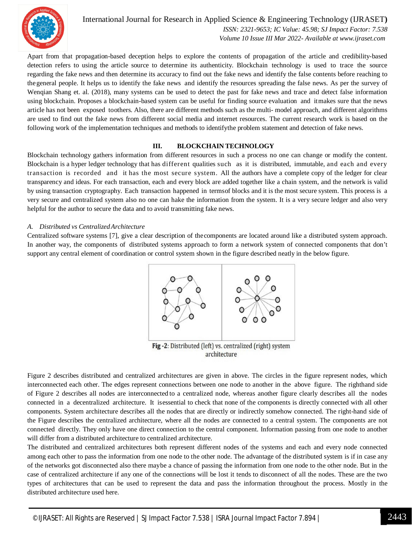

International Journal for Research in Applied Science & Engineering Technology (IJRASET**)**  *ISSN: 2321-9653; IC Value: 45.98; SJ Impact Factor: 7.538 Volume 10 Issue III Mar 2022- Available at www.ijraset.com*

Apart from that propagation-based deception helps to explore the contents of propagation of the article and credibility-based detection refers to using the article source to determine its authenticity. Blockchain technology is used to trace the source regarding the fake news and then determine its accuracy to find out the fake news and identify the false contents before reaching to thegeneral people. It helps us to identify the fake news and identify the resources spreading the false news. As per the survey of Wenqian Shang et. al. (2018), many systems can be used to detect the past for fake news and trace and detect false information using blockchain. Proposes a blockchain-based system can be useful for finding source evaluation and itmakes sure that the news article has not been exposed toothers. Also, there are different methods such as the multi- model approach, and different algorithms are used to find out the fake news from different social media and internet resources. The current research work is based on the following work of the implementation techniques and methods to identifythe problem statement and detection of fake news.

#### **III. BLOCKCHAIN TECHNOLOGY**

Blockchain technology gathers information from different resources in such a process no one can change or modify the content. Blockchain is a hyper ledger technology that has different qualities such as it is distributed, immutable, and each and every transaction is recorded and it has the most secure system. All the authors have a complete copy of the ledger for clear transparency and ideas. For each transaction, each and every block are added together like a chain system, and the network is valid by using transaction cryptography. Each transaction happened in termsof blocks and it is the most secure system. This process is a very secure and centralized system also no one can hake the information from the system. It is a very secure ledger and also very helpful for the author to secure the data and to avoid transmitting fake news.

#### *A. Distributed vs CentralizedArchitecture*

Centralized software systems [7], give a clear description of thecomponents are located around like a distributed system approach. In another way, the components of distributed systems approach to form a network system of connected components that don't support any central element of coordination or control system shown in the figure described neatly in the below figure.



architecture

Figure 2 describes distributed and centralized architectures are given in above. The circles in the figure represent nodes, which interconnected each other. The edges represent connections between one node to another in the above figure. The righthand side of Figure 2 describes all nodes are interconnected to a centralized node, whereas another figure clearly describes all the nodes connected in a decentralized architecture. It isessential to check that none of the components is directly connected with all other components. System architecture describes all the nodes that are directly or indirectly somehow connected. The right-hand side of the Figure describes the centralized architecture, where all the nodes are connected to a central system. The components are not connected directly. They only have one direct connection to the central component. Information passing from one node to another will differ from a distributed architecture to centralized architecture.

The distributed and centralized architectures both represent different nodes of the systems and each and every node connected among each other to pass the information from one node to the other node. The advantage of the distributed system is if in case any of the networks got disconnected also there maybe a chance of passing the information from one node to the other node. But in the case of centralized architecture if any one of the connections will be lost it tends to disconnect of all the nodes. These are the two types of architectures that can be used to represent the data and pass the information throughout the process. Mostly in the distributed architecture used here.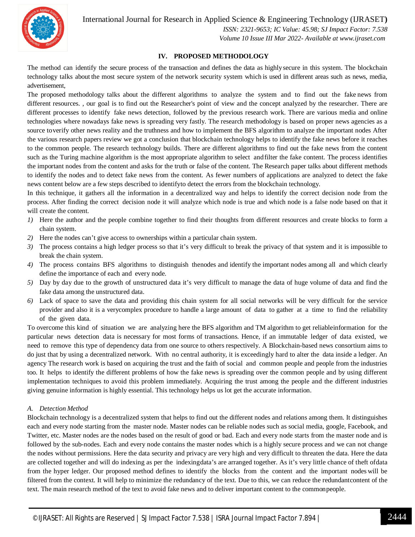

International Journal for Research in Applied Science & Engineering Technology (IJRASET**)**

 *ISSN: 2321-9653; IC Value: 45.98; SJ Impact Factor: 7.538 Volume 10 Issue III Mar 2022- Available at www.ijraset.com*

#### **IV. PROPOSED METHODOLOGY**

The method can identify the secure process of the transaction and defines the data as highlysecure in this system. The blockchain technology talks about the most secure system of the network security system which is used in different areas such as news, media, advertisement,

The proposed methodology talks about the different algorithms to analyze the system and to find out the fake news from different resources. , our goal is to find out the Researcher's point of view and the concept analyzed by the researcher. There are different processes to identify fake news detection, followed by the previous research work. There are various media and online technologies where nowadays fake news is spreading very fastly. The research methodology is based on proper news agencies as a source toverify other news reality and the truthness and how to implement the BFS algorithm to analyze the important nodes After the various research papers review we got a conclusion that blockchain technology helps to identify the fake news before it reaches to the common people. The research technology builds. There are different algorithms to find out the fake news from the content such as the Turing machine algorithm is the most appropriate algorithm to select andfilter the fake content. The process identifies the important nodes from the content and asks for the truth or false of the content. The Research paper talks about different methods to identify the nodes and to detect fake news from the content. As fewer numbers of applications are analyzed to detect the fake news content below are a few steps described to identifyto detect the errors from the blockchain technology.

In this technique, it gathers all the information in a decentralized way and helps to identify the correct decision node from the process. After finding the correct decision node it will analyze which node is true and which node is a false node based on that it will create the content.

- *1)* Here the author and the people combine together to find their thoughts from different resources and create blocks to form a chain system.
- *2)* Here the nodes can't give access to ownerships within a particular chain system.
- *3)* The process contains a high ledger process so that it's very difficult to break the privacy of that system and it is impossible to break the chain system.
- *4)* The process contains BFS algorithms to distinguish thenodes and identify the important nodes among all and which clearly define the importance of each and every node.
- *5*) Day by day due to the growth of unstructured data it's very difficult to manage the data of huge volume of data and find the fake data among the unstructured data.
- *6)* Lack of space to save the data and providing this chain system for all social networks will be very difficult for the service provider and also it is a verycomplex procedure to handle a large amount of data to gather at a time to find the reliability of the given data.

To overcome this kind of situation we are analyzing here the BFS algorithm and TM algorithm to get reliableinformation for the particular news detection data is necessary for most forms of transactions. Hence, if an immutable ledger of data existed, we need to remove this type of dependency data from one source to others respectively. A Blockchain-based news consortium aims to do just that by using a decentralized network. With no central authority, it is exceedingly hard to alter the data inside a ledger. An agency The research work is based on acquiring the trust and the faith of social and common people and people from the industries too. It helps to identify the different problems of how the fake news is spreading over the common people and by using different implementation techniques to avoid this problem immediately. Acquiring the trust among the people and the different industries giving genuine information is highly essential. This technology helps us lot get the accurate information.

#### *A. Detection Method*

Blockchain technology is a decentralized system that helps to find out the different nodes and relations among them. It distinguishes each and every node starting from the master node. Master nodes can be reliable nodes such as social media, google, Facebook, and Twitter, etc. Master nodes are the nodes based on the result of good or bad. Each and every node starts from the master node and is followed by the sub-nodes. Each and every node contains the master nodes which is a highly secure process and we can not change the nodes without permissions. Here the data security and privacy are very high and very difficult to threaten the data. Here the data are collected together and will do indexing as per the indexingdata's are arranged together. As it's very little chance of theft ofdata from the hyper ledger. Our proposed method defines to identify the blocks from the content and the important nodes will be filtered from the context. It will help to minimize the redundancy of the text. Due to this, we can reduce the redundantcontent of the text. The main research method of the text to avoid fake news and to deliver important content to the commonpeople.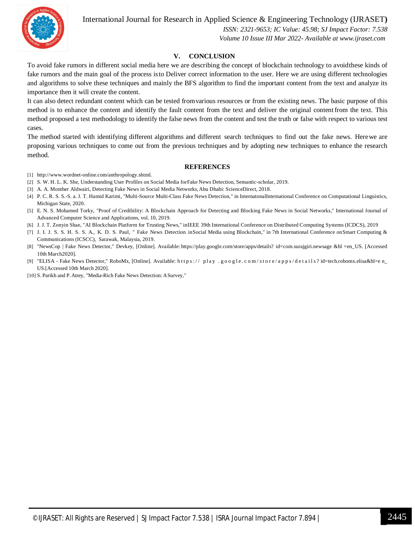International Journal for Research in Applied Science & Engineering Technology (IJRASET**)**

 *ISSN: 2321-9653; IC Value: 45.98; SJ Impact Factor: 7.538 Volume 10 Issue III Mar 2022- Available at www.ijraset.com*

#### **V. CONCLUSION**

To avoid fake rumors in different social media here we are describing the concept of blockchain technology to avoidthese kinds of fake rumors and the main goal of the process isto Deliver correct information to the user. Here we are using different technologies and algorithms to solve these techniques and mainly the BFS algorithm to find the important content from the text and analyze its importance then it will create the content.

It can also detect redundant content which can be tested fromvarious resources or from the existing news. The basic purpose of this method is to enhance the content and identify the fault content from the text and deliver the original contentfrom the text. This method proposed a test methodology to identify the false news from the content and test the truth or false with respect to various test cases.

The method started with identifying different algorithms and different search techniques to find out the fake news. Herewe are proposing various techniques to come out from the previous techniques and by adopting new techniques to enhance the research method.

#### **REFERENCES**

- [1] http://www.wordnet-online.com/anthropology.shtml.
- [2] S. W. H. L. K. She, Understanding User Profiles on Social Media forFake News Detection, Semantic-scholar, 2019.
- [3] A. A. Monther Aldwairi, Detecting Fake News in Social Media Networks, Abu Dhabi: ScienceDirect, 2018.
- [4] P. C. R. S. S.-S. a. J. T. Hamid Karimi, "Multi-Source Multi-Class Fake News Detection," in InternatonalInternational Conference on Computational Linguistics, Michigan State, 2020.
- [5] E. N. S. Mohamed Torky, "Proof of Credibility: A Blockchain Approach for Detecting and Blocking Fake News in Social Networks," International Journal of Advanced Computer Science and Applications, vol. 10, 2019.
- [6] J. J. T. Zonyin Shae, "AI Blockchain Platform for Trusting News," inIEEE 39th International Conference on Distributed Computing Systems (ICDCS), 2019
- [7] J. I. J. S. S. H. S. S. A., K. D. S. Paul, " Fake News Detection inSocial Media using Blockchain," in 7th International Conference onSmart Computing & Communications (ICSCC), Sarawak, Malaysia, 2019.
- [8] "NewsCop | Fake News Detector," Devkey, [Online]. Available: https://play.google.com/store/apps/details? id=com.surajgiri.newsage &hl =en\_US. [Accessed 10th March2020].
- [9] "ELISA Fake News Detector," RoboMx, [Online]. Available: https:// play .google.com/store/apps/details?id=tech.robomx.elisa&hl=e n\_ US.[Accessed 10th March 2020].
- [10] S. Parikh and P.Atrey, "Media-Rich Fake News Detection: ASurvey,"